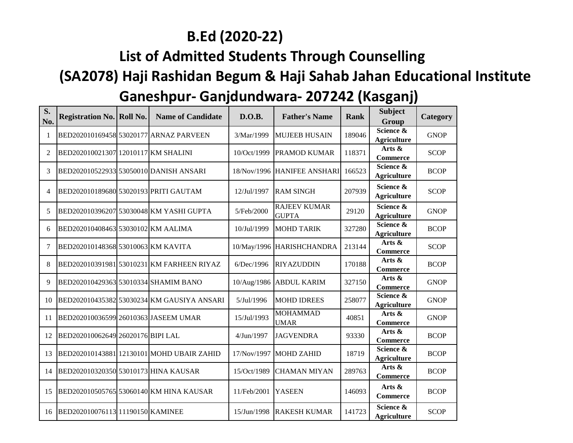## **B.Ed (2020-22)**

## **List of Admitted Students Through Counselling**

## **(SA2078) Haji Rashidan Begum & Haji Sahab Jahan Educational Institute Ganeshpur- Ganjdundwara- 207242 (Kasganj)**

| S.<br>No.                | <b>Registration No. Roll No.</b>       | <b>Name of Candidate</b>                   | D.O.B.      | <b>Father's Name</b>                | <b>Rank</b> | <b>Subject</b><br>Group         | <b>Category</b> |
|--------------------------|----------------------------------------|--------------------------------------------|-------------|-------------------------------------|-------------|---------------------------------|-----------------|
| -1                       |                                        | BED202010169458 53020177 ARNAZ PARVEEN     | 3/Mar/1999  | <b>MUJEEB HUSAIN</b>                | 189046      | Science &<br><b>Agriculture</b> | <b>GNOP</b>     |
| $\overline{2}$           | BED202010021307 12010117 KM SHALINI    |                                            | 10/Oct/1999 | <b>PRAMOD KUMAR</b>                 | 118371      | Arts &<br><b>Commerce</b>       | <b>SCOP</b>     |
| 3                        | BED202010522933 53050010 DANISH ANSARI |                                            |             | 18/Nov/1996 HANIFEE ANSHARI         | 166523      | Science &<br><b>Agriculture</b> | <b>BCOP</b>     |
| $\overline{\mathcal{A}}$ | BED202010189680 53020193 PRITI GAUTAM  |                                            | 12/Jul/1997 | <b>RAM SINGH</b>                    | 207939      | Science &<br><b>Agriculture</b> | <b>SCOP</b>     |
| 5                        |                                        | BED202010396207 53030048 KM YASHI GUPTA    | 5/Feb/2000  | <b>RAJEEV KUMAR</b><br><b>GUPTA</b> | 29120       | Science &<br><b>Agriculture</b> | <b>GNOP</b>     |
| 6                        | BED202010408463 53030102 KM AALIMA     |                                            | 10/Jul/1999 | <b>MOHD TARIK</b>                   | 327280      | Science &<br><b>Agriculture</b> | <b>BCOP</b>     |
| 7                        | BED202010148368 53010063 KM KAVITA     |                                            |             | 10/May/1996 HARISHCHANDRA           | 213144      | Arts &<br><b>Commerce</b>       | <b>SCOP</b>     |
| 8                        |                                        | BED202010391981 53010231 KM FARHEEN RIYAZ  | 6/Dec/1996  | <b>RIYAZUDDIN</b>                   | 170188      | Arts &<br>Commerce              | <b>BCOP</b>     |
| 9                        | BED202010429363 53010334 SHAMIM BANO   |                                            |             | 10/Aug/1986 ABDUL KARIM             | 327150      | Arts &<br><b>Commerce</b>       | <b>GNOP</b>     |
| 10                       |                                        | BED202010435382 53030234 KM GAUSIYA ANSARI | 5/Jul/1996  | <b>MOHD IDREES</b>                  | 258077      | Science &<br><b>Agriculture</b> | <b>GNOP</b>     |
| 11                       | BED202010036599 26010363 JASEEM UMAR   |                                            | 15/Jul/1993 | <b>MOHAMMAD</b><br><b>UMAR</b>      | 40851       | Arts &<br><b>Commerce</b>       | <b>GNOP</b>     |
| 12                       | BED202010062649 26020176 BIPI LAL      |                                            | 4/Jun/1997  | <b>JAGVENDRA</b>                    | 93330       | Arts &<br><b>Commerce</b>       | <b>BCOP</b>     |
| 13                       |                                        | BED202010143881 12130101 MOHD UBAIR ZAHID  |             | 17/Nov/1997 MOHD ZAHID              | 18719       | Science &<br><b>Agriculture</b> | <b>BCOP</b>     |
| 14                       | BED202010320350 53010173 HINA KAUSAR   |                                            | 15/Oct/1989 | <b>CHAMAN MIYAN</b>                 | 289763      | Arts &<br><b>Commerce</b>       | <b>BCOP</b>     |
| 15                       |                                        | BED202010505765 53060140 KM HINA KAUSAR    | 11/Feb/2001 | <b>YASEEN</b>                       | 146093      | Arts &<br><b>Commerce</b>       | <b>BCOP</b>     |
| 16                       | BED202010076113 11190150 KAMINEE       |                                            | 15/Jun/1998 | <b>RAKESH KUMAR</b>                 | 141723      | Science &<br><b>Agriculture</b> | <b>SCOP</b>     |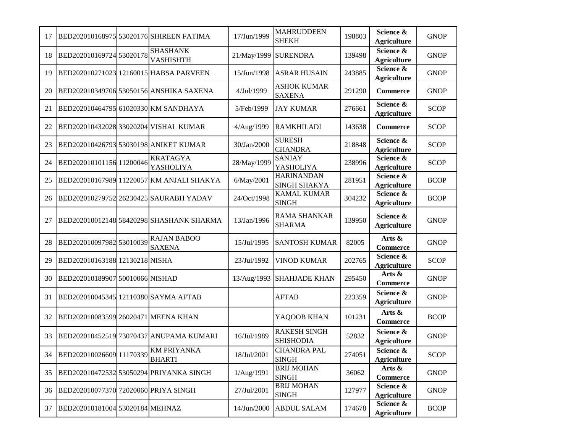| 17 |                                         | BED202010168975 53020176 SHIREEN FATIMA   | 17/Jun/1999          | <b>MAHRUDDEEN</b><br><b>SHEKH</b>        | 198803 | Science &<br><b>Agriculture</b> | <b>GNOP</b> |
|----|-----------------------------------------|-------------------------------------------|----------------------|------------------------------------------|--------|---------------------------------|-------------|
| 18 | BED202010169724 53020178                | <b>SHASHANK</b><br><b>VASHISHTH</b>       | 21/May/1999 SURENDRA |                                          | 139498 | Science &<br><b>Agriculture</b> | <b>GNOP</b> |
| 19 |                                         | BED202010271023 12160015 HABSA PARVEEN    | 15/Jun/1998          | <b>ASRAR HUSAIN</b>                      | 243885 | Science &<br><b>Agriculture</b> | <b>GNOP</b> |
| 20 |                                         | BED202010349706 53050156 ANSHIKA SAXENA   | 4/Jul/1999           | <b>ASHOK KUMAR</b><br><b>SAXENA</b>      | 291290 | <b>Commerce</b>                 | <b>GNOP</b> |
| 21 | BED202010464795 61020330 KM SANDHAYA    |                                           | 5/Feb/1999           | <b>JAY KUMAR</b>                         | 276661 | Science &<br><b>Agriculture</b> | <b>SCOP</b> |
| 22 | BED202010432028 33020204 VISHAL KUMAR   |                                           | 4/Aug/1999           | <b>RAMKHILADI</b>                        | 143638 | <b>Commerce</b>                 | <b>SCOP</b> |
| 23 | BED202010426793 53030198 ANIKET KUMAR   |                                           | 30/Jan/2000          | <b>SURESH</b><br><b>CHANDRA</b>          | 218848 | Science &<br><b>Agriculture</b> | <b>SCOP</b> |
| 24 | BED202010101156 11200046                | <b>KRATAGYA</b><br>YASHOLIYA              | 28/May/1999          | <b>SANJAY</b><br>YASHOLIYA               | 238996 | Science &<br><b>Agriculture</b> | <b>SCOP</b> |
| 25 |                                         | BED202010167989 11220057 KM ANJALI SHAKYA | 6/May/2001           | <b>HARINANDAN</b><br><b>SINGH SHAKYA</b> | 281951 | Science &<br><b>Agriculture</b> | <b>BCOP</b> |
| 26 |                                         | BED202010279752 26230425 SAURABH YADAV    | 24/Oct/1998          | <b>KAMAL KUMAR</b><br><b>SINGH</b>       | 304232 | Science &<br><b>Agriculture</b> | <b>BCOP</b> |
| 27 |                                         | BED202010012148 58420298 SHASHANK SHARMA  | 13/Jan/1996          | <b>RAMA SHANKAR</b><br><b>SHARMA</b>     | 139950 | Science &<br><b>Agriculture</b> | <b>GNOP</b> |
| 28 | BED202010097982 53010039                | <b>RAJAN BABOO</b><br><b>SAXENA</b>       | 15/Jul/1995          | <b>SANTOSH KUMAR</b>                     | 82005  | Arts &<br><b>Commerce</b>       | <b>GNOP</b> |
| 29 | BED202010163188 12130218 NISHA          |                                           | 23/Jul/1992          | <b>VINOD KUMAR</b>                       | 202765 | Science &<br><b>Agriculture</b> | <b>SCOP</b> |
| 30 | BED202010189907 50010066 NISHAD         |                                           |                      | 13/Aug/1993 SHAHJADE KHAN                | 295450 | Arts &<br><b>Commerce</b>       | <b>GNOP</b> |
| 31 | BED202010045345 12110380 SAYMA AFTAB    |                                           |                      | <b>AFTAB</b>                             | 223359 | Science &<br><b>Agriculture</b> | <b>GNOP</b> |
| 32 | BED202010083599 26020471 MEENA KHAN     |                                           |                      | YAQOOB KHAN                              | 101231 | Arts &<br><b>Commerce</b>       | <b>BCOP</b> |
| 33 |                                         | BED202010452519 73070437 ANUPAMA KUMARI   | 16/Jul/1989          | <b>RAKESH SINGH</b><br><b>SHISHODIA</b>  | 52832  | Science &<br><b>Agriculture</b> | <b>GNOP</b> |
|    | 34 BED202010026609 11170339 KM PRIYANKA | <b>BHARTI</b>                             | 18/Jul/2001          | <b>CHANDRA PAL</b><br><b>SINGH</b>       | 274051 | Science &<br><b>Agriculture</b> | <b>SCOP</b> |
| 35 |                                         | BED202010472532 53050294 PRIYANKA SINGH   | 1/Aug/1991           | <b>BRIJ MOHAN</b><br><b>SINGH</b>        | 36062  | Arts &<br><b>Commerce</b>       | <b>GNOP</b> |
| 36 | BED202010077370 72020060 PRIYA SINGH    |                                           | 27/Jul/2001          | <b>BRIJ MOHAN</b><br><b>SINGH</b>        | 127977 | Science &<br><b>Agriculture</b> | <b>GNOP</b> |
| 37 | BED202010181004 53020184 MEHNAZ         |                                           | 14/Jun/2000          | <b>ABDUL SALAM</b>                       | 174678 | Science &<br><b>Agriculture</b> | <b>BCOP</b> |